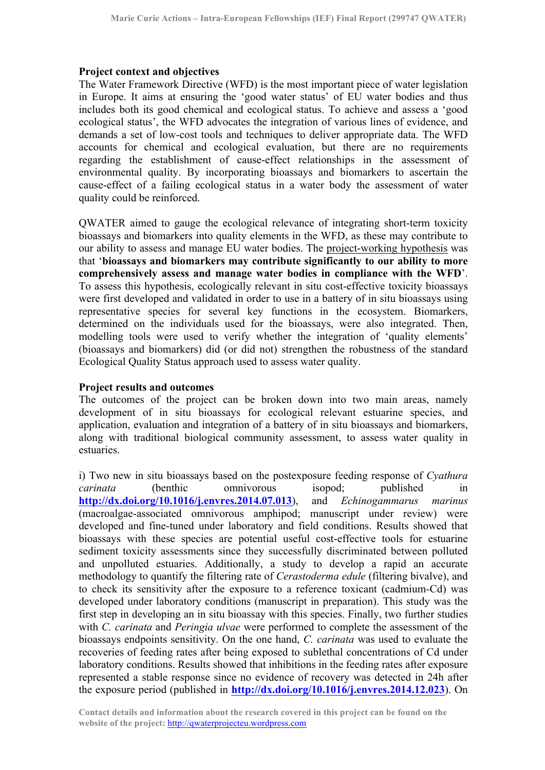## **Project context and objectives**

The Water Framework Directive (WFD) is the most important piece of water legislation in Europe. It aims at ensuring the 'good water status' of EU water bodies and thus includes both its good chemical and ecological status. To achieve and assess a 'good ecological status', the WFD advocates the integration of various lines of evidence, and demands a set of low-cost tools and techniques to deliver appropriate data. The WFD accounts for chemical and ecological evaluation, but there are no requirements regarding the establishment of cause-effect relationships in the assessment of environmental quality. By incorporating bioassays and biomarkers to ascertain the cause-effect of a failing ecological status in a water body the assessment of water quality could be reinforced.

QWATER aimed to gauge the ecological relevance of integrating short-term toxicity bioassays and biomarkers into quality elements in the WFD, as these may contribute to our ability to assess and manage EU water bodies. The project-working hypothesis was that '**bioassays and biomarkers may contribute significantly to our ability to more comprehensively assess and manage water bodies in compliance with the WFD**'. To assess this hypothesis, ecologically relevant in situ cost-effective toxicity bioassays were first developed and validated in order to use in a battery of in situ bioassays using representative species for several key functions in the ecosystem. Biomarkers, determined on the individuals used for the bioassays, were also integrated. Then, modelling tools were used to verify whether the integration of 'quality elements' (bioassays and biomarkers) did (or did not) strengthen the robustness of the standard Ecological Quality Status approach used to assess water quality.

## **Project results and outcomes**

The outcomes of the project can be broken down into two main areas, namely development of in situ bioassays for ecological relevant estuarine species, and application, evaluation and integration of a battery of in situ bioassays and biomarkers, along with traditional biological community assessment, to assess water quality in estuaries.

i) Two new in situ bioassays based on the postexposure feeding response of *Cyathura carinata* (benthic omnivorous isopod: published in **http://dx.doi.org/10.1016/j.envres.2014.07.013**), and *Echinogammarus marinus* (macroalgae-associated omnivorous amphipod; manuscript under review) were developed and fine-tuned under laboratory and field conditions. Results showed that bioassays with these species are potential useful cost-effective tools for estuarine sediment toxicity assessments since they successfully discriminated between polluted and unpolluted estuaries. Additionally, a study to develop a rapid an accurate methodology to quantify the filtering rate of *Cerastoderma edule* (filtering bivalve), and to check its sensitivity after the exposure to a reference toxicant (cadmium-Cd) was developed under laboratory conditions (manuscript in preparation). This study was the first step in developing an in situ bioassay with this species. Finally, two further studies with *C. carinata* and *Peringia ulvae* were performed to complete the assessment of the bioassays endpoints sensitivity. On the one hand, *C. carinata* was used to evaluate the recoveries of feeding rates after being exposed to sublethal concentrations of Cd under laboratory conditions. Results showed that inhibitions in the feeding rates after exposure represented a stable response since no evidence of recovery was detected in 24h after the exposure period (published in **http://dx.doi.org/10.1016/j.envres.2014.12.023**). On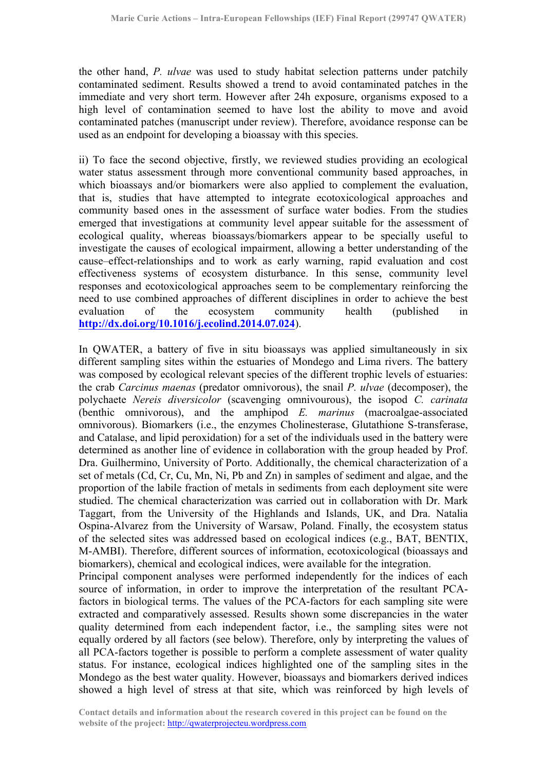the other hand, *P. ulvae* was used to study habitat selection patterns under patchily contaminated sediment. Results showed a trend to avoid contaminated patches in the immediate and very short term. However after 24h exposure, organisms exposed to a high level of contamination seemed to have lost the ability to move and avoid contaminated patches (manuscript under review). Therefore, avoidance response can be used as an endpoint for developing a bioassay with this species.

ii) To face the second objective, firstly, we reviewed studies providing an ecological water status assessment through more conventional community based approaches, in which bioassays and/or biomarkers were also applied to complement the evaluation, that is, studies that have attempted to integrate ecotoxicological approaches and community based ones in the assessment of surface water bodies. From the studies emerged that investigations at community level appear suitable for the assessment of ecological quality, whereas bioassays/biomarkers appear to be specially useful to investigate the causes of ecological impairment, allowing a better understanding of the cause–effect-relationships and to work as early warning, rapid evaluation and cost effectiveness systems of ecosystem disturbance. In this sense, community level responses and ecotoxicological approaches seem to be complementary reinforcing the need to use combined approaches of different disciplines in order to achieve the best evaluation of the ecosystem community health (published in **http://dx.doi.org/10.1016/j.ecolind.2014.07.024**).

In QWATER, a battery of five in situ bioassays was applied simultaneously in six different sampling sites within the estuaries of Mondego and Lima rivers. The battery was composed by ecological relevant species of the different trophic levels of estuaries: the crab *Carcinus maenas* (predator omnivorous), the snail *P. ulvae* (decomposer), the polychaete *Nereis diversicolor* (scavenging omnivourous), the isopod *C. carinata*  (benthic omnivorous), and the amphipod *E. marinus* (macroalgae-associated omnivorous). Biomarkers (i.e., the enzymes Cholinesterase, Glutathione S-transferase, and Catalase, and lipid peroxidation) for a set of the individuals used in the battery were determined as another line of evidence in collaboration with the group headed by Prof. Dra. Guilhermino, University of Porto. Additionally, the chemical characterization of a set of metals (Cd, Cr, Cu, Mn, Ni, Pb and Zn) in samples of sediment and algae, and the proportion of the labile fraction of metals in sediments from each deployment site were studied. The chemical characterization was carried out in collaboration with Dr. Mark Taggart, from the University of the Highlands and Islands, UK, and Dra. Natalia Ospina-Alvarez from the University of Warsaw, Poland. Finally, the ecosystem status of the selected sites was addressed based on ecological indices (e.g., BAT, BENTIX, M-AMBI). Therefore, different sources of information, ecotoxicological (bioassays and biomarkers), chemical and ecological indices, were available for the integration.

Principal component analyses were performed independently for the indices of each source of information, in order to improve the interpretation of the resultant PCAfactors in biological terms. The values of the PCA-factors for each sampling site were extracted and comparatively assessed. Results shown some discrepancies in the water quality determined from each independent factor, i.e., the sampling sites were not equally ordered by all factors (see below). Therefore, only by interpreting the values of all PCA-factors together is possible to perform a complete assessment of water quality status. For instance, ecological indices highlighted one of the sampling sites in the Mondego as the best water quality. However, bioassays and biomarkers derived indices showed a high level of stress at that site, which was reinforced by high levels of